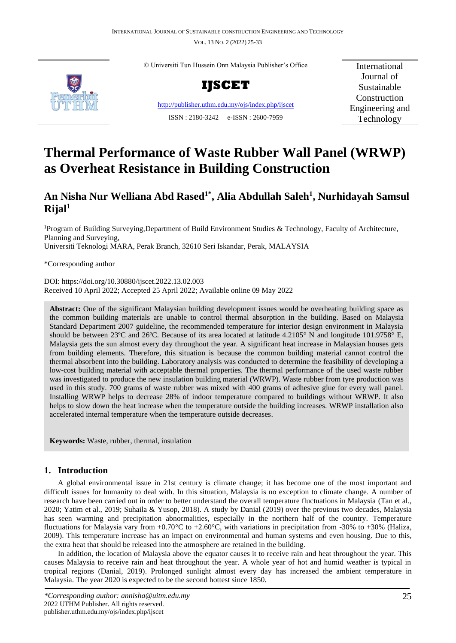VOL. 13 NO. 2 (2022) 25-33



© Universiti Tun Hussein Onn Malaysia Publisher's Office



<http://publisher.uthm.edu.my/ojs/index.php/ijscet> ISSN : 2180-3242 e-ISSN : 2600-7959

International Journal of Sustainable Construction Engineering and Technology

# **Thermal Performance of Waste Rubber Wall Panel (WRWP) as Overheat Resistance in Building Construction**

# **An Nisha Nur Welliana Abd Rased1\* , Alia Abdullah Saleh<sup>1</sup> , Nurhidayah Samsul**   $R$ ijal<sup>1</sup>

<sup>1</sup>Program of Building Surveying,Department of Build Environment Studies & Technology, Faculty of Architecture, Planning and Surveying, Universiti Teknologi MARA, Perak Branch, 32610 Seri Iskandar, Perak, MALAYSIA

\*Corresponding author

DOI: https://doi.org/10.30880/ijscet.2022.13.02.003 Received 10 April 2022; Accepted 25 April 2022; Available online 09 May 2022

**Abstract:** One of the significant Malaysian building development issues would be overheating building space as the common building materials are unable to control thermal absorption in the building. Based on Malaysia Standard Department 2007 guideline, the recommended temperature for interior design environment in Malaysia should be between 23°C and 26°C. Because of its area located at latitude 4.2105° N and longitude 101.9758° E, Malaysia gets the sun almost every day throughout the year. A significant heat increase in Malaysian houses gets from building elements. Therefore, this situation is because the common building material cannot control the thermal absorbent into the building. Laboratory analysis was conducted to determine the feasibility of developing a low-cost building material with acceptable thermal properties. The thermal performance of the used waste rubber was investigated to produce the new insulation building material (WRWP). Waste rubber from tyre production was used in this study. 700 grams of waste rubber was mixed with 400 grams of adhesive glue for every wall panel. Installing WRWP helps to decrease 28% of indoor temperature compared to buildings without WRWP. It also helps to slow down the heat increase when the temperature outside the building increases. WRWP installation also accelerated internal temperature when the temperature outside decreases.

**Keywords:** Waste, rubber, thermal, insulation

# **1. Introduction**

A global environmental issue in 21st century is climate change; it has become one of the most important and difficult issues for humanity to deal with. In this situation, Malaysia is no exception to climate change. A number of research have been carried out in order to better understand the overall temperature fluctuations in Malaysia (Tan et al., 2020; Yatim et al., 2019; Suhaila & Yusop, 2018). A study by Danial (2019) over the previous two decades, Malaysia has seen warming and precipitation abnormalities, especially in the northern half of the country. Temperature fluctuations for Malaysia vary from  $+0.70^{\circ}\text{C}$  to  $+2.60^{\circ}\text{C}$ , with variations in precipitation from -30% to  $+30\%$  (Haliza, 2009). This temperature increase has an impact on environmental and human systems and even housing. Due to this, the extra heat that should be released into the atmosphere are retained in the building.

In addition, the location of Malaysia above the equator causes it to receive rain and heat throughout the year. This causes Malaysia to receive rain and heat throughout the year. A whole year of hot and humid weather is typical in tropical regions (Danial, 2019). Prolonged sunlight almost every day has increased the ambient temperature in Malaysia. The year 2020 is expected to be the second hottest since 1850.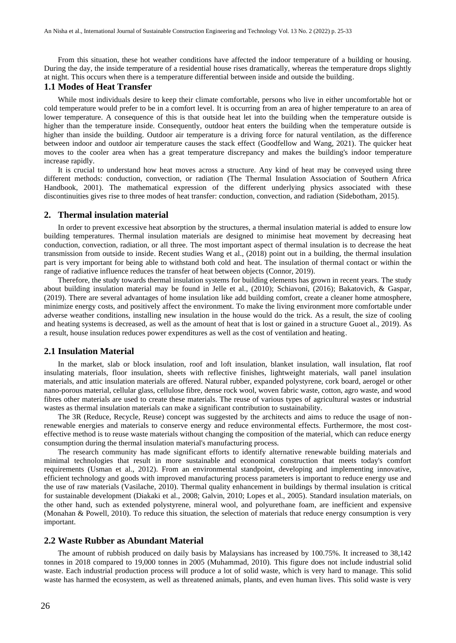From this situation, these hot weather conditions have affected the indoor temperature of a building or housing. During the day, the inside temperature of a residential house rises dramatically, whereas the temperature drops slightly at night. This occurs when there is a temperature differential between inside and outside the building.

#### **1.1 Modes of Heat Transfer**

While most individuals desire to keep their climate comfortable, persons who live in either uncomfortable hot or cold temperature would prefer to be in a comfort level. It is occurring from an area of higher temperature to an area of lower temperature. A consequence of this is that outside heat let into the building when the temperature outside is higher than the temperature inside. Consequently, outdoor heat enters the building when the temperature outside is higher than inside the building. Outdoor air temperature is a driving force for natural ventilation, as the difference between indoor and outdoor air temperature causes the stack effect (Goodfellow and Wang, 2021). The quicker heat moves to the cooler area when has a great temperature discrepancy and makes the building's indoor temperature increase rapidly.

It is crucial to understand how heat moves across a structure. Any kind of heat may be conveyed using three different methods: conduction, convection, or radiation (The Thermal Insulation Association of Southern Africa Handbook, 2001). The mathematical expression of the different underlying physics associated with these discontinuities gives rise to three modes of heat transfer: conduction, convection, and radiation (Sidebotham, 2015).

#### **2. Thermal insulation material**

In order to prevent excessive heat absorption by the structures, a thermal insulation material is added to ensure low building temperatures. Thermal insulation materials are designed to minimise heat movement by decreasing heat conduction, convection, radiation, or all three. The most important aspect of thermal insulation is to decrease the heat transmission from outside to inside. Recent studies Wang et al., (2018) point out in a building, the thermal insulation part is very important for being able to withstand both cold and heat. The insulation of thermal contact or within the range of radiative influence reduces the transfer of heat between objects (Connor, 2019).

Therefore, the study towards thermal insulation systems for building elements has grown in recent years. The study about building insulation material may be found in Jelle et al., (2010); Schiavoni, (2016); Bakatovich, & Gaspar, (2019). There are several advantages of home insulation like add building comfort, create a cleaner home atmosphere, minimize energy costs, and positively affect the environment. To make the living environment more comfortable under adverse weather conditions, installing new insulation in the house would do the trick. As a result, the size of cooling and heating systems is decreased, as well as the amount of heat that is lost or gained in a structure Guoet al., 2019). As a result, house insulation reduces power expenditures as well as the cost of ventilation and heating.

#### **2.1 Insulation Material**

In the market, slab or block insulation, roof and loft insulation, blanket insulation, wall insulation, flat roof insulating materials, floor insulation, sheets with reflective finishes, lightweight materials, wall panel insulation materials, and attic insulation materials are offered. Natural rubber, expanded polystyrene, cork board, aerogel or other nano-porous material, cellular glass, cellulose fibre, dense rock wool, woven fabric waste, cotton, agro waste, and wood fibres other materials are used to create these materials. The reuse of various types of agricultural wastes or industrial wastes as thermal insulation materials can make a significant contribution to sustainability.

The 3R (Reduce, Recycle, Reuse) concept was suggested by the architects and aims to reduce the usage of nonrenewable energies and materials to conserve energy and reduce environmental effects. Furthermore, the most costeffective method is to reuse waste materials without changing the composition of the material, which can reduce energy consumption during the thermal insulation material's manufacturing process.

The research community has made significant efforts to identify alternative renewable building materials and minimal technologies that result in more sustainable and economical construction that meets today's comfort requirements (Usman et al., 2012). From an environmental standpoint, developing and implementing innovative, efficient technology and goods with improved manufacturing process parameters is important to reduce energy use and the use of raw materials (Vasilache, 2010). Thermal quality enhancement in buildings by thermal insulation is critical for sustainable development (Diakaki et al., 2008; Galvin, 2010; Lopes et al., 2005). Standard insulation materials, on the other hand, such as extended polystyrene, mineral wool, and polyurethane foam, are inefficient and expensive (Monahan & Powell, 2010). To reduce this situation, the selection of materials that reduce energy consumption is very important.

#### **2.2 Waste Rubber as Abundant Material**

The amount of rubbish produced on daily basis by Malaysians has increased by 100.75%. It increased to 38,142 tonnes in 2018 compared to 19,000 tonnes in 2005 (Muhammad, 2010). This figure does not include industrial solid waste. Each industrial production process will produce a lot of solid waste, which is very hard to manage. This solid waste has harmed the ecosystem, as well as threatened animals, plants, and even human lives. This solid waste is very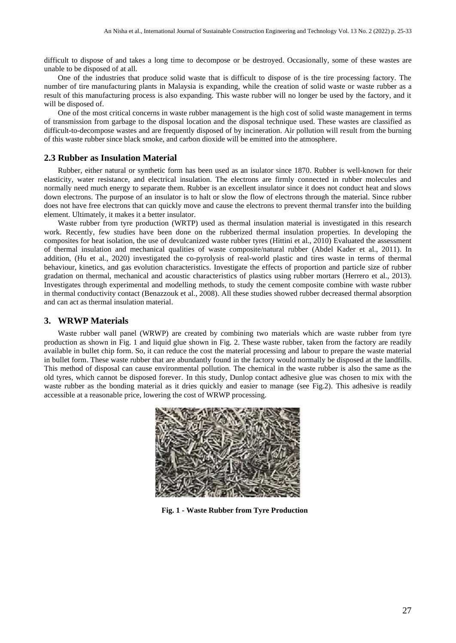difficult to dispose of and takes a long time to decompose or be destroyed. Occasionally, some of these wastes are unable to be disposed of at all.

One of the industries that produce solid waste that is difficult to dispose of is the tire processing factory. The number of tire manufacturing plants in Malaysia is expanding, while the creation of solid waste or waste rubber as a result of this manufacturing process is also expanding. This waste rubber will no longer be used by the factory, and it will be disposed of.

One of the most critical concerns in waste rubber management is the high cost of solid waste management in terms of transmission from garbage to the disposal location and the disposal technique used. These wastes are classified as difficult-to-decompose wastes and are frequently disposed of by incineration. Air pollution will result from the burning of this waste rubber since black smoke, and carbon dioxide will be emitted into the atmosphere.

#### **2.3 Rubber as Insulation Material**

Rubber, either natural or synthetic form has been used as an isulator since 1870. Rubber is well-known for their elasticity, water resistance, and electrical insulation. The electrons are firmly connected in rubber molecules and normally need much energy to separate them. Rubber is an excellent insulator since it does not conduct heat and slows down electrons. The purpose of an insulator is to halt or slow the flow of electrons through the material. Since rubber does not have free electrons that can quickly move and cause the electrons to prevent thermal transfer into the building element. Ultimately, it makes it a better insulator.

Waste rubber from tyre production (WRTP) used as thermal insulation material is investigated in this research work. Recently, few studies have been done on the rubberized thermal insulation properties. In developing the composites for heat isolation, the use of devulcanized waste rubber tyres (Hittini et al., 2010) Evaluated the assessment of thermal insulation and mechanical qualities of waste composite/natural rubber (Abdel Kader et al., 2011). In addition, (Hu et al., 2020) investigated the co-pyrolysis of real-world plastic and tires waste in terms of thermal behaviour, kinetics, and gas evolution characteristics. Investigate the effects of proportion and particle size of rubber gradation on thermal, mechanical and acoustic characteristics of plastics using rubber mortars (Herrero et al., 2013). Investigates through experimental and modelling methods, to study the cement composite combine with waste rubber in thermal conductivity contact (Benazzouk et al., 2008). All these studies showed rubber decreased thermal absorption and can act as thermal insulation material.

#### **3. WRWP Materials**

Waste rubber wall panel (WRWP) are created by combining two materials which are waste rubber from tyre production as shown in Fig. 1 and liquid glue shown in Fig. 2. These waste rubber, taken from the factory are readily available in bullet chip form. So, it can reduce the cost the material processing and labour to prepare the waste material in bullet form. These waste rubber that are abundantly found in the factory would normally be disposed at the landfills. This method of disposal can cause environmental pollution. The chemical in the waste rubber is also the same as the old tyres, which cannot be disposed forever. In this study, Dunlop contact adhesive glue was chosen to mix with the waste rubber as the bonding material as it dries quickly and easier to manage (see Fig.2). This adhesive is readily accessible at a reasonable price, lowering the cost of WRWP processing.



**Fig. 1 - Waste Rubber from Tyre Production**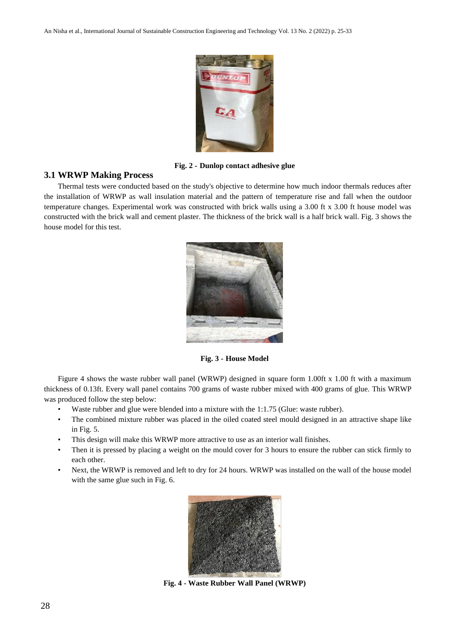

**Fig. 2 - Dunlop contact adhesive glue**

# **3.1 WRWP Making Process**

Thermal tests were conducted based on the study's objective to determine how much indoor thermals reduces after the installation of WRWP as wall insulation material and the pattern of temperature rise and fall when the outdoor temperature changes. Experimental work was constructed with brick walls using a 3.00 ft x 3.00 ft house model was constructed with the brick wall and cement plaster. The thickness of the brick wall is a half brick wall. Fig. 3 shows the house model for this test.



**Fig. 3 - House Model**

Figure 4 shows the waste rubber wall panel (WRWP) designed in square form 1.00ft x 1.00 ft with a maximum thickness of 0.13ft. Every wall panel contains 700 grams of waste rubber mixed with 400 grams of glue. This WRWP was produced follow the step below:

- Waste rubber and glue were blended into a mixture with the 1:1.75 (Glue: waste rubber).
- The combined mixture rubber was placed in the oiled coated steel mould designed in an attractive shape like in Fig. 5.
- This design will make this WRWP more attractive to use as an interior wall finishes.
- Then it is pressed by placing a weight on the mould cover for 3 hours to ensure the rubber can stick firmly to each other.
- Next, the WRWP is removed and left to dry for 24 hours. WRWP was installed on the wall of the house model with the same glue such in Fig. 6.



**Fig. 4 - Waste Rubber Wall Panel (WRWP)**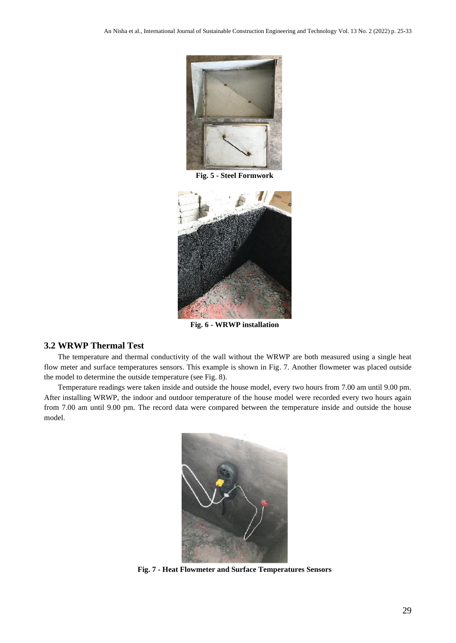

**Fig. 5 - Steel Formwork**



**Fig. 6 - WRWP installation**

### **3.2 WRWP Thermal Test**

The temperature and thermal conductivity of the wall without the WRWP are both measured using a single heat flow meter and surface temperatures sensors. This example is shown in Fig. 7. Another flowmeter was placed outside the model to determine the outside temperature (see Fig. 8).

Temperature readings were taken inside and outside the house model, every two hours from 7.00 am until 9.00 pm. After installing WRWP, the indoor and outdoor temperature of the house model were recorded every two hours again from 7.00 am until 9.00 pm. The record data were compared between the temperature inside and outside the house model.



**Fig. 7 - Heat Flowmeter and Surface Temperatures Sensors**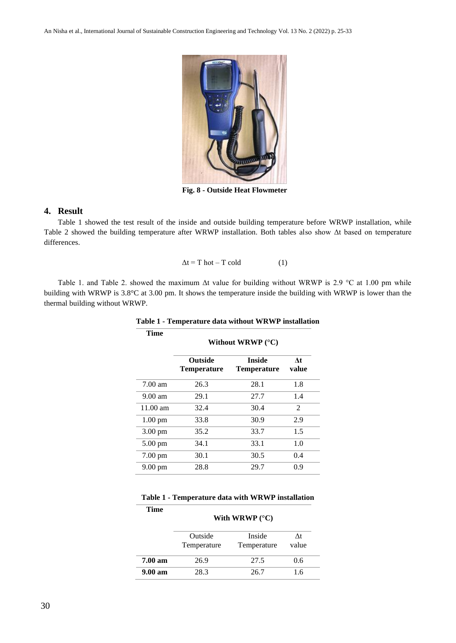

**Fig. 8 - Outside Heat Flowmeter**

# **4. Result**

Table 1 showed the test result of the inside and outside building temperature before WRWP installation, while Table 2 showed the building temperature after WRWP installation. Both tables also show Δt based on temperature differences.

$$
\Delta t = T \text{ hot} - T \text{ cold} \tag{1}
$$

Table 1. and Table 2. showed the maximum  $\Delta t$  value for building without WRWP is 2.9 °C at 1.00 pm while building with WRWP is 3.8°C at 3.00 pm. It shows the temperature inside the building with WRWP is lower than the thermal building without WRWP.

| Time               | Without WRWP $(^{\circ}C)$           |                              |               |  |
|--------------------|--------------------------------------|------------------------------|---------------|--|
|                    | <b>Outside</b><br><b>Temperature</b> | Inside<br><b>Temperature</b> | At<br>value   |  |
| $7.00$ am          | 26.3                                 | 28.1                         | 1.8           |  |
| $9.00$ am          | 29.1                                 | 27.7                         | 1.4           |  |
| $11.00 \text{ am}$ | 32.4                                 | 30.4                         | $\mathcal{L}$ |  |
| $1.00 \text{ pm}$  | 33.8                                 | 30.9                         | 2.9           |  |
| 3.00 pm            | 35.2                                 | 33.7                         | 1.5           |  |
| $5.00 \text{ pm}$  | 34.1                                 | 33.1                         | 1.0           |  |
| 7.00 pm            | 30.1                                 | 30.5                         | 0.4           |  |
| 9.00 pm            | 28.8                                 | 29.7                         | 0.9           |  |

**Table 1 - Temperature data without WRWP installation**

| Time                | With WRWP $(^{\circ}C)$ |                       |             |  |
|---------------------|-------------------------|-----------------------|-------------|--|
|                     | Outside<br>Temperature  | Inside<br>Temperature | Λt<br>value |  |
| 7.00 <sub>am</sub>  | 26.9                    | 27.5                  | 0.6         |  |
| 9.00 a <sub>m</sub> | 28.3                    | 26.7                  | 1.6         |  |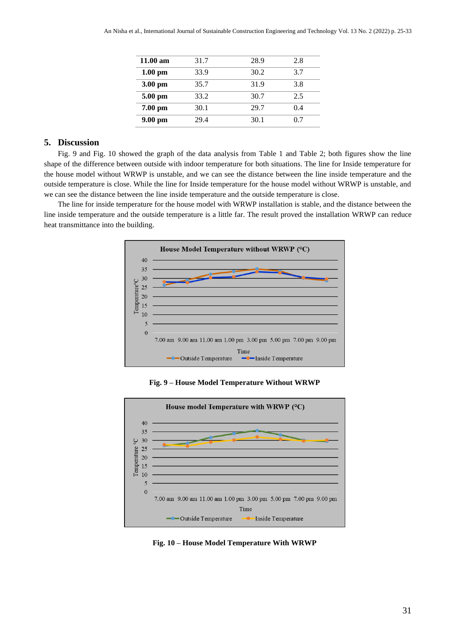| $11.00 \text{ am}$ | 31.7 | 28.9 | 2.8 |
|--------------------|------|------|-----|
| $1.00 \text{ pm}$  | 33.9 | 30.2 | 3.7 |
| $3.00$ pm          | 35.7 | 31.9 | 3.8 |
| $5.00 \text{ pm}$  | 33.2 | 30.7 | 2.5 |
| $7.00$ pm          | 30.1 | 29.7 | 0.4 |
| $9.00$ pm          | 29.4 | 30.1 | 0.7 |

# **5. Discussion**

Fig. 9 and Fig. 10 showed the graph of the data analysis from Table 1 and Table 2; both figures show the line shape of the difference between outside with indoor temperature for both situations. The line for Inside temperature for the house model without WRWP is unstable, and we can see the distance between the line inside temperature and the outside temperature is close. While the line for Inside temperature for the house model without WRWP is unstable, and we can see the distance between the line inside temperature and the outside temperature is close.

The line for inside temperature for the house model with WRWP installation is stable, and the distance between the line inside temperature and the outside temperature is a little far. The result proved the installation WRWP can reduce heat transmittance into the building.



**Fig. 9 – House Model Temperature Without WRWP**



**Fig. 10 – House Model Temperature With WRWP**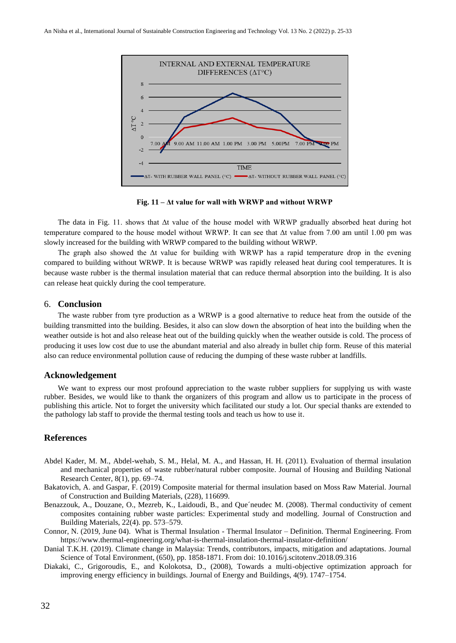

**Fig. 11 – Δt value for wall with WRWP and without WRWP**

The data in Fig. 11. shows that Δt value of the house model with WRWP gradually absorbed heat during hot temperature compared to the house model without WRWP. It can see that Δt value from 7.00 am until 1.00 pm was slowly increased for the building with WRWP compared to the building without WRWP.

The graph also showed the Δt value for building with WRWP has a rapid temperature drop in the evening compared to building without WRWP. It is because WRWP was rapidly released heat during cool temperatures. It is because waste rubber is the thermal insulation material that can reduce thermal absorption into the building. It is also can release heat quickly during the cool temperature.

#### 6. **Conclusion**

The waste rubber from tyre production as a WRWP is a good alternative to reduce heat from the outside of the building transmitted into the building. Besides, it also can slow down the absorption of heat into the building when the weather outside is hot and also release heat out of the building quickly when the weather outside is cold. The process of producing it uses low cost due to use the abundant material and also already in bullet chip form. Reuse of this material also can reduce environmental pollution cause of reducing the dumping of these waste rubber at landfills.

#### **Acknowledgement**

We want to express our most profound appreciation to the waste rubber suppliers for supplying us with waste rubber. Besides, we would like to thank the organizers of this program and allow us to participate in the process of publishing this article. Not to forget the university which facilitated our study a lot. Our special thanks are extended to the pathology lab staff to provide the thermal testing tools and teach us how to use it.

# **References**

- Abdel Kader, M. M., Abdel-wehab, S. M., Helal, M. A., and Hassan, H. H. (2011). Evaluation of thermal insulation and mechanical properties of waste rubber/natural rubber composite. Journal of Housing and Building National Research Center, 8(1), pp. 69–74.
- Bakatovich, A. and Gaspar, F. (2019) Composite material for thermal insulation based on Moss Raw Material. Journal of Construction and Building Materials, (228), 116699.
- Benazzouk, A., Douzane, O., Mezreb, K., Laidoudi, B., and Que´neudec M. (2008). Thermal conductivity of cement composites containing rubber waste particles: Experimental study and modelling. Journal of Construction and Building Materials, 22(4). pp. 573–579.
- Connor, N. (2019, June 04). What is Thermal Insulation Thermal Insulator Definition. Thermal Engineering. From https://www.thermal-engineering.org/what-is-thermal-insulation-thermal-insulator-definition/
- Danial T.K.H. (2019). Climate change in Malaysia: Trends, contributors, impacts, mitigation and adaptations. Journal Science of Total Environment, (650), pp. 1858-1871. From doi: 10.1016/j.scitotenv.2018.09.316
- Diakaki, C., Grigoroudis, E., and Kolokotsa, D., (2008), Towards a multi-objective optimization approach for improving energy efficiency in buildings. Journal of Energy and Buildings, 4(9). 1747–1754.